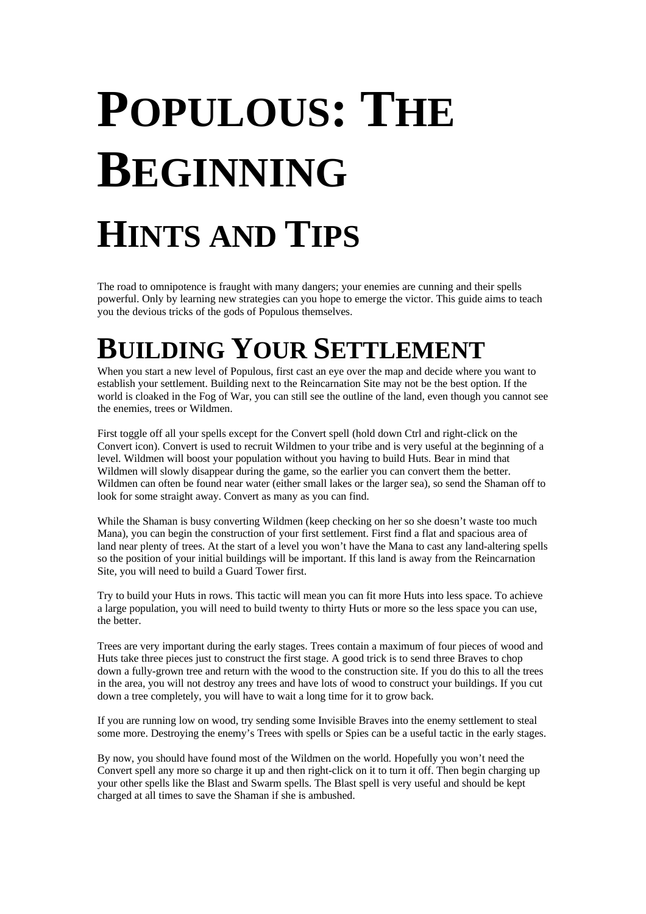# **POPULOUS: THE BEGINNING HINTS AND TIPS**

The road to omnipotence is fraught with many dangers; your enemies are cunning and their spells powerful. Only by learning new strategies can you hope to emerge the victor. This guide aims to teach you the devious tricks of the gods of Populous themselves.

## **BUILDING YOUR SETTLEMENT**

When you start a new level of Populous, first cast an eye over the map and decide where you want to establish your settlement. Building next to the Reincarnation Site may not be the best option. If the world is cloaked in the Fog of War, you can still see the outline of the land, even though you cannot see the enemies, trees or Wildmen.

First toggle off all your spells except for the Convert spell (hold down Ctrl and right-click on the Convert icon). Convert is used to recruit Wildmen to your tribe and is very useful at the beginning of a level. Wildmen will boost your population without you having to build Huts. Bear in mind that Wildmen will slowly disappear during the game, so the earlier you can convert them the better. Wildmen can often be found near water (either small lakes or the larger sea), so send the Shaman off to look for some straight away. Convert as many as you can find.

While the Shaman is busy converting Wildmen (keep checking on her so she doesn't waste too much Mana), you can begin the construction of your first settlement. First find a flat and spacious area of land near plenty of trees. At the start of a level you won't have the Mana to cast any land-altering spells so the position of your initial buildings will be important. If this land is away from the Reincarnation Site, you will need to build a Guard Tower first.

Try to build your Huts in rows. This tactic will mean you can fit more Huts into less space. To achieve a large population, you will need to build twenty to thirty Huts or more so the less space you can use, the better.

Trees are very important during the early stages. Trees contain a maximum of four pieces of wood and Huts take three pieces just to construct the first stage. A good trick is to send three Braves to chop down a fully-grown tree and return with the wood to the construction site. If you do this to all the trees in the area, you will not destroy any trees and have lots of wood to construct your buildings. If you cut down a tree completely, you will have to wait a long time for it to grow back.

If you are running low on wood, try sending some Invisible Braves into the enemy settlement to steal some more. Destroying the enemy's Trees with spells or Spies can be a useful tactic in the early stages.

By now, you should have found most of the Wildmen on the world. Hopefully you won't need the Convert spell any more so charge it up and then right-click on it to turn it off. Then begin charging up your other spells like the Blast and Swarm spells. The Blast spell is very useful and should be kept charged at all times to save the Shaman if she is ambushed.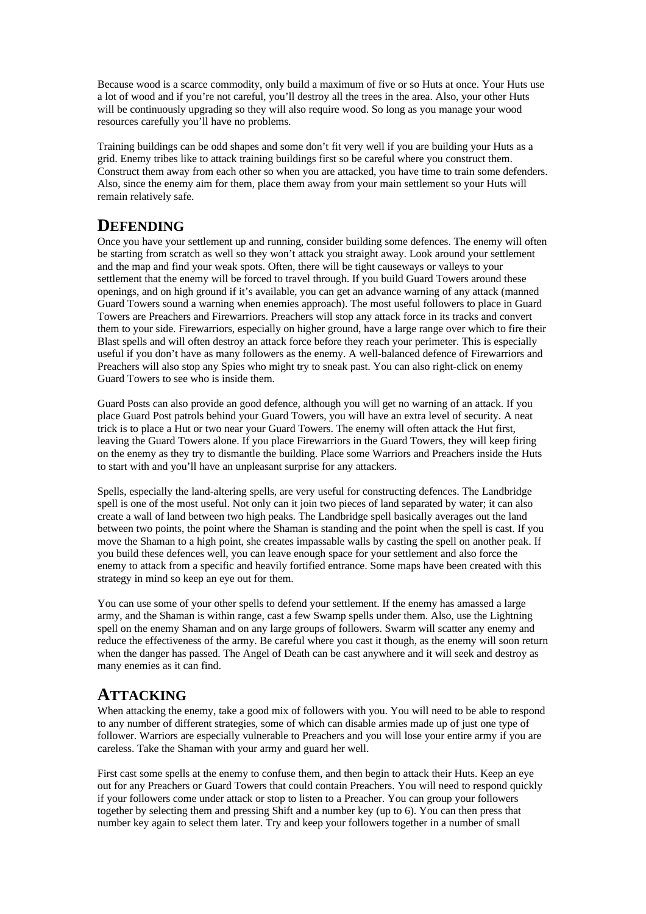Because wood is a scarce commodity, only build a maximum of five or so Huts at once. Your Huts use a lot of wood and if you're not careful, you'll destroy all the trees in the area. Also, your other Huts will be continuously upgrading so they will also require wood. So long as you manage your wood resources carefully you'll have no problems.

Training buildings can be odd shapes and some don't fit very well if you are building your Huts as a grid. Enemy tribes like to attack training buildings first so be careful where you construct them. Construct them away from each other so when you are attacked, you have time to train some defenders. Also, since the enemy aim for them, place them away from your main settlement so your Huts will remain relatively safe.

#### **DEFENDING**

Once you have your settlement up and running, consider building some defences. The enemy will often be starting from scratch as well so they won't attack you straight away. Look around your settlement and the map and find your weak spots. Often, there will be tight causeways or valleys to your settlement that the enemy will be forced to travel through. If you build Guard Towers around these openings, and on high ground if it's available, you can get an advance warning of any attack (manned Guard Towers sound a warning when enemies approach). The most useful followers to place in Guard Towers are Preachers and Firewarriors. Preachers will stop any attack force in its tracks and convert them to your side. Firewarriors, especially on higher ground, have a large range over which to fire their Blast spells and will often destroy an attack force before they reach your perimeter. This is especially useful if you don't have as many followers as the enemy. A well-balanced defence of Firewarriors and Preachers will also stop any Spies who might try to sneak past. You can also right-click on enemy Guard Towers to see who is inside them.

Guard Posts can also provide an good defence, although you will get no warning of an attack. If you place Guard Post patrols behind your Guard Towers, you will have an extra level of security. A neat trick is to place a Hut or two near your Guard Towers. The enemy will often attack the Hut first, leaving the Guard Towers alone. If you place Firewarriors in the Guard Towers, they will keep firing on the enemy as they try to dismantle the building. Place some Warriors and Preachers inside the Huts to start with and you'll have an unpleasant surprise for any attackers.

Spells, especially the land-altering spells, are very useful for constructing defences. The Landbridge spell is one of the most useful. Not only can it join two pieces of land separated by water; it can also create a wall of land between two high peaks. The Landbridge spell basically averages out the land between two points, the point where the Shaman is standing and the point when the spell is cast. If you move the Shaman to a high point, she creates impassable walls by casting the spell on another peak. If you build these defences well, you can leave enough space for your settlement and also force the enemy to attack from a specific and heavily fortified entrance. Some maps have been created with this strategy in mind so keep an eye out for them.

You can use some of your other spells to defend your settlement. If the enemy has amassed a large army, and the Shaman is within range, cast a few Swamp spells under them. Also, use the Lightning spell on the enemy Shaman and on any large groups of followers. Swarm will scatter any enemy and reduce the effectiveness of the army. Be careful where you cast it though, as the enemy will soon return when the danger has passed. The Angel of Death can be cast anywhere and it will seek and destroy as many enemies as it can find.

#### **ATTACKING**

When attacking the enemy, take a good mix of followers with you. You will need to be able to respond to any number of different strategies, some of which can disable armies made up of just one type of follower. Warriors are especially vulnerable to Preachers and you will lose your entire army if you are careless. Take the Shaman with your army and guard her well.

First cast some spells at the enemy to confuse them, and then begin to attack their Huts. Keep an eye out for any Preachers or Guard Towers that could contain Preachers. You will need to respond quickly if your followers come under attack or stop to listen to a Preacher. You can group your followers together by selecting them and pressing Shift and a number key (up to 6). You can then press that number key again to select them later. Try and keep your followers together in a number of small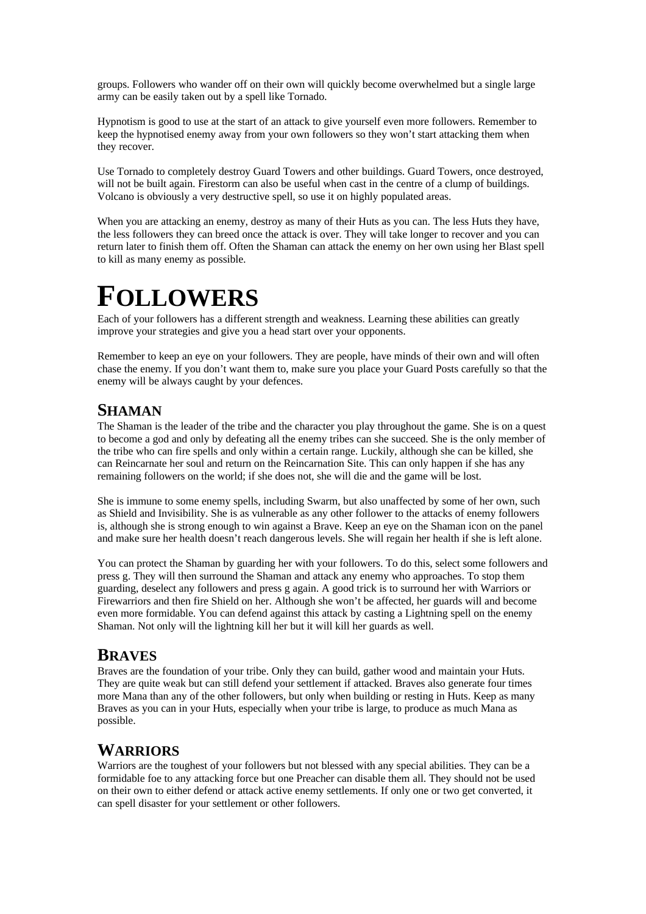groups. Followers who wander off on their own will quickly become overwhelmed but a single large army can be easily taken out by a spell like Tornado.

Hypnotism is good to use at the start of an attack to give yourself even more followers. Remember to keep the hypnotised enemy away from your own followers so they won't start attacking them when they recover.

Use Tornado to completely destroy Guard Towers and other buildings. Guard Towers, once destroyed, will not be built again. Firestorm can also be useful when cast in the centre of a clump of buildings. Volcano is obviously a very destructive spell, so use it on highly populated areas.

When you are attacking an enemy, destroy as many of their Huts as you can. The less Huts they have, the less followers they can breed once the attack is over. They will take longer to recover and you can return later to finish them off. Often the Shaman can attack the enemy on her own using her Blast spell to kill as many enemy as possible.

### **FOLLOWERS**

Each of your followers has a different strength and weakness. Learning these abilities can greatly improve your strategies and give you a head start over your opponents.

Remember to keep an eye on your followers. They are people, have minds of their own and will often chase the enemy. If you don't want them to, make sure you place your Guard Posts carefully so that the enemy will be always caught by your defences.

#### **SHAMAN**

The Shaman is the leader of the tribe and the character you play throughout the game. She is on a quest to become a god and only by defeating all the enemy tribes can she succeed. She is the only member of the tribe who can fire spells and only within a certain range. Luckily, although she can be killed, she can Reincarnate her soul and return on the Reincarnation Site. This can only happen if she has any remaining followers on the world; if she does not, she will die and the game will be lost.

She is immune to some enemy spells, including Swarm, but also unaffected by some of her own, such as Shield and Invisibility. She is as vulnerable as any other follower to the attacks of enemy followers is, although she is strong enough to win against a Brave. Keep an eye on the Shaman icon on the panel and make sure her health doesn't reach dangerous levels. She will regain her health if she is left alone.

You can protect the Shaman by guarding her with your followers. To do this, select some followers and press g. They will then surround the Shaman and attack any enemy who approaches. To stop them guarding, deselect any followers and press g again. A good trick is to surround her with Warriors or Firewarriors and then fire Shield on her. Although she won't be affected, her guards will and become even more formidable. You can defend against this attack by casting a Lightning spell on the enemy Shaman. Not only will the lightning kill her but it will kill her guards as well.

#### **BRAVES**

Braves are the foundation of your tribe. Only they can build, gather wood and maintain your Huts. They are quite weak but can still defend your settlement if attacked. Braves also generate four times more Mana than any of the other followers, but only when building or resting in Huts. Keep as many Braves as you can in your Huts, especially when your tribe is large, to produce as much Mana as possible.

#### **WARRIORS**

Warriors are the toughest of your followers but not blessed with any special abilities. They can be a formidable foe to any attacking force but one Preacher can disable them all. They should not be used on their own to either defend or attack active enemy settlements. If only one or two get converted, it can spell disaster for your settlement or other followers.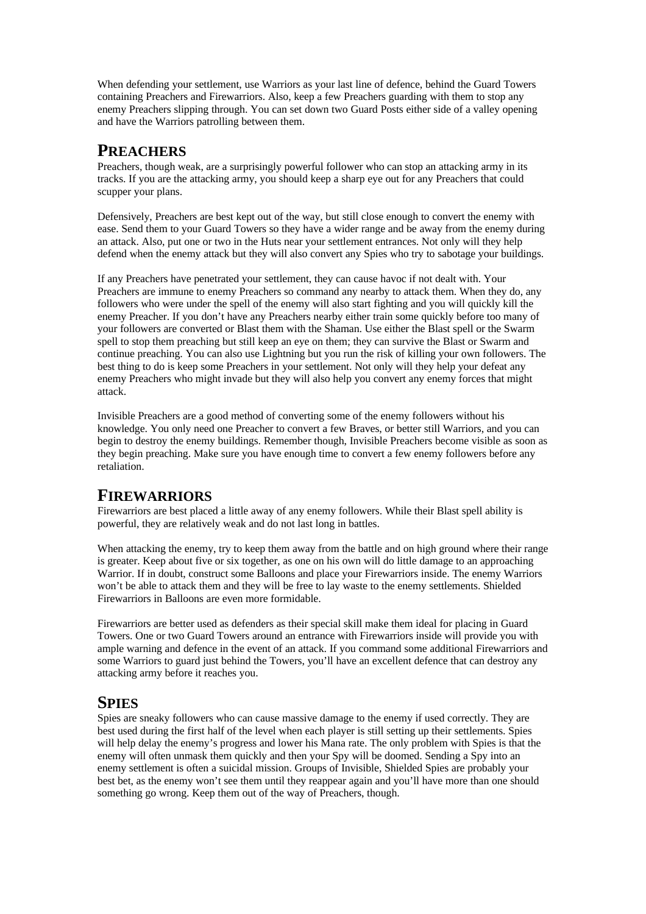When defending your settlement, use Warriors as your last line of defence, behind the Guard Towers containing Preachers and Firewarriors. Also, keep a few Preachers guarding with them to stop any enemy Preachers slipping through. You can set down two Guard Posts either side of a valley opening and have the Warriors patrolling between them.

#### **PREACHERS**

Preachers, though weak, are a surprisingly powerful follower who can stop an attacking army in its tracks. If you are the attacking army, you should keep a sharp eye out for any Preachers that could scupper your plans.

Defensively, Preachers are best kept out of the way, but still close enough to convert the enemy with ease. Send them to your Guard Towers so they have a wider range and be away from the enemy during an attack. Also, put one or two in the Huts near your settlement entrances. Not only will they help defend when the enemy attack but they will also convert any Spies who try to sabotage your buildings.

If any Preachers have penetrated your settlement, they can cause havoc if not dealt with. Your Preachers are immune to enemy Preachers so command any nearby to attack them. When they do, any followers who were under the spell of the enemy will also start fighting and you will quickly kill the enemy Preacher. If you don't have any Preachers nearby either train some quickly before too many of your followers are converted or Blast them with the Shaman. Use either the Blast spell or the Swarm spell to stop them preaching but still keep an eye on them; they can survive the Blast or Swarm and continue preaching. You can also use Lightning but you run the risk of killing your own followers. The best thing to do is keep some Preachers in your settlement. Not only will they help your defeat any enemy Preachers who might invade but they will also help you convert any enemy forces that might attack.

Invisible Preachers are a good method of converting some of the enemy followers without his knowledge. You only need one Preacher to convert a few Braves, or better still Warriors, and you can begin to destroy the enemy buildings. Remember though, Invisible Preachers become visible as soon as they begin preaching. Make sure you have enough time to convert a few enemy followers before any retaliation.

#### **FIREWARRIORS**

Firewarriors are best placed a little away of any enemy followers. While their Blast spell ability is powerful, they are relatively weak and do not last long in battles.

When attacking the enemy, try to keep them away from the battle and on high ground where their range is greater. Keep about five or six together, as one on his own will do little damage to an approaching Warrior. If in doubt, construct some Balloons and place your Firewarriors inside. The enemy Warriors won't be able to attack them and they will be free to lay waste to the enemy settlements. Shielded Firewarriors in Balloons are even more formidable.

Firewarriors are better used as defenders as their special skill make them ideal for placing in Guard Towers. One or two Guard Towers around an entrance with Firewarriors inside will provide you with ample warning and defence in the event of an attack. If you command some additional Firewarriors and some Warriors to guard just behind the Towers, you'll have an excellent defence that can destroy any attacking army before it reaches you.

#### **SPIES**

Spies are sneaky followers who can cause massive damage to the enemy if used correctly. They are best used during the first half of the level when each player is still setting up their settlements. Spies will help delay the enemy's progress and lower his Mana rate. The only problem with Spies is that the enemy will often unmask them quickly and then your Spy will be doomed. Sending a Spy into an enemy settlement is often a suicidal mission. Groups of Invisible, Shielded Spies are probably your best bet, as the enemy won't see them until they reappear again and you'll have more than one should something go wrong. Keep them out of the way of Preachers, though.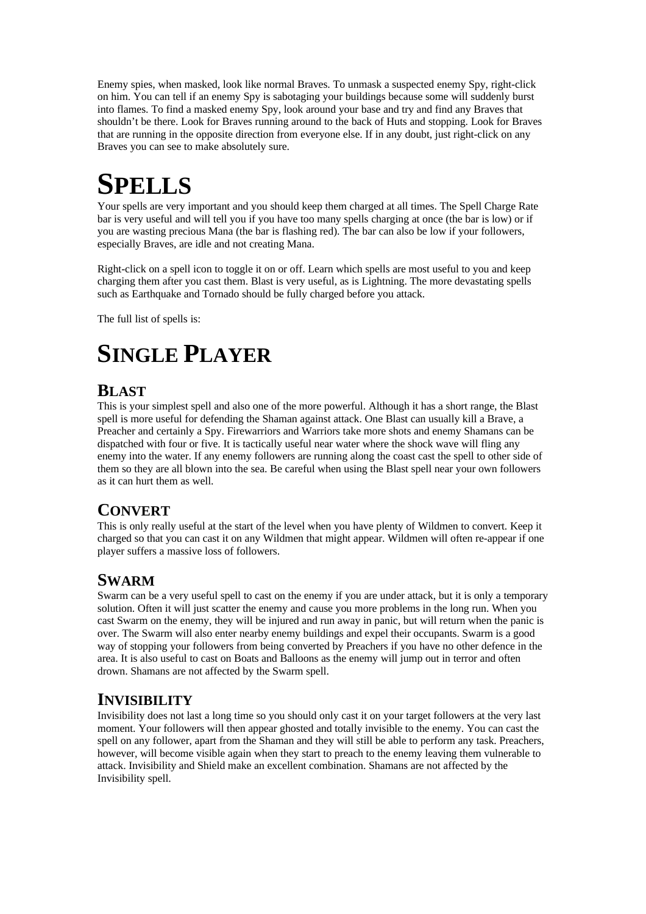Enemy spies, when masked, look like normal Braves. To unmask a suspected enemy Spy, right-click on him. You can tell if an enemy Spy is sabotaging your buildings because some will suddenly burst into flames. To find a masked enemy Spy, look around your base and try and find any Braves that shouldn't be there. Look for Braves running around to the back of Huts and stopping. Look for Braves that are running in the opposite direction from everyone else. If in any doubt, just right-click on any Braves you can see to make absolutely sure.

### **SPELLS**

Your spells are very important and you should keep them charged at all times. The Spell Charge Rate bar is very useful and will tell you if you have too many spells charging at once (the bar is low) or if you are wasting precious Mana (the bar is flashing red). The bar can also be low if your followers, especially Braves, are idle and not creating Mana.

Right-click on a spell icon to toggle it on or off. Learn which spells are most useful to you and keep charging them after you cast them. Blast is very useful, as is Lightning. The more devastating spells such as Earthquake and Tornado should be fully charged before you attack.

The full list of spells is:

### **SINGLE PLAYER**

#### **BLAST**

This is your simplest spell and also one of the more powerful. Although it has a short range, the Blast spell is more useful for defending the Shaman against attack. One Blast can usually kill a Brave, a Preacher and certainly a Spy. Firewarriors and Warriors take more shots and enemy Shamans can be dispatched with four or five. It is tactically useful near water where the shock wave will fling any enemy into the water. If any enemy followers are running along the coast cast the spell to other side of them so they are all blown into the sea. Be careful when using the Blast spell near your own followers as it can hurt them as well.

#### **CONVERT**

This is only really useful at the start of the level when you have plenty of Wildmen to convert. Keep it charged so that you can cast it on any Wildmen that might appear. Wildmen will often re-appear if one player suffers a massive loss of followers.

#### **SWARM**

Swarm can be a very useful spell to cast on the enemy if you are under attack, but it is only a temporary solution. Often it will just scatter the enemy and cause you more problems in the long run. When you cast Swarm on the enemy, they will be injured and run away in panic, but will return when the panic is over. The Swarm will also enter nearby enemy buildings and expel their occupants. Swarm is a good way of stopping your followers from being converted by Preachers if you have no other defence in the area. It is also useful to cast on Boats and Balloons as the enemy will jump out in terror and often drown. Shamans are not affected by the Swarm spell.

#### **INVISIBILITY**

Invisibility does not last a long time so you should only cast it on your target followers at the very last moment. Your followers will then appear ghosted and totally invisible to the enemy. You can cast the spell on any follower, apart from the Shaman and they will still be able to perform any task. Preachers, however, will become visible again when they start to preach to the enemy leaving them vulnerable to attack. Invisibility and Shield make an excellent combination. Shamans are not affected by the Invisibility spell.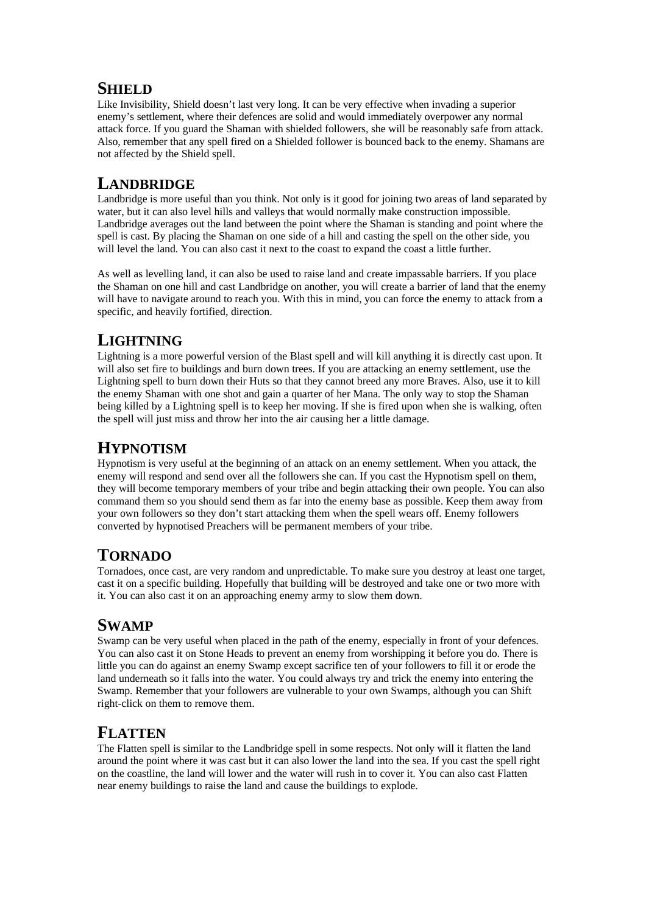#### **SHIELD**

Like Invisibility, Shield doesn't last very long. It can be very effective when invading a superior enemy's settlement, where their defences are solid and would immediately overpower any normal attack force. If you guard the Shaman with shielded followers, she will be reasonably safe from attack. Also, remember that any spell fired on a Shielded follower is bounced back to the enemy. Shamans are not affected by the Shield spell.

#### **LANDBRIDGE**

Landbridge is more useful than you think. Not only is it good for joining two areas of land separated by water, but it can also level hills and valleys that would normally make construction impossible. Landbridge averages out the land between the point where the Shaman is standing and point where the spell is cast. By placing the Shaman on one side of a hill and casting the spell on the other side, you will level the land. You can also cast it next to the coast to expand the coast a little further.

As well as levelling land, it can also be used to raise land and create impassable barriers. If you place the Shaman on one hill and cast Landbridge on another, you will create a barrier of land that the enemy will have to navigate around to reach you. With this in mind, you can force the enemy to attack from a specific, and heavily fortified, direction.

#### **LIGHTNING**

Lightning is a more powerful version of the Blast spell and will kill anything it is directly cast upon. It will also set fire to buildings and burn down trees. If you are attacking an enemy settlement, use the Lightning spell to burn down their Huts so that they cannot breed any more Braves. Also, use it to kill the enemy Shaman with one shot and gain a quarter of her Mana. The only way to stop the Shaman being killed by a Lightning spell is to keep her moving. If she is fired upon when she is walking, often the spell will just miss and throw her into the air causing her a little damage.

#### **HYPNOTISM**

Hypnotism is very useful at the beginning of an attack on an enemy settlement. When you attack, the enemy will respond and send over all the followers she can. If you cast the Hypnotism spell on them, they will become temporary members of your tribe and begin attacking their own people. You can also command them so you should send them as far into the enemy base as possible. Keep them away from your own followers so they don't start attacking them when the spell wears off. Enemy followers converted by hypnotised Preachers will be permanent members of your tribe.

#### **TORNADO**

Tornadoes, once cast, are very random and unpredictable. To make sure you destroy at least one target, cast it on a specific building. Hopefully that building will be destroyed and take one or two more with it. You can also cast it on an approaching enemy army to slow them down.

#### **SWAMP**

Swamp can be very useful when placed in the path of the enemy, especially in front of your defences. You can also cast it on Stone Heads to prevent an enemy from worshipping it before you do. There is little you can do against an enemy Swamp except sacrifice ten of your followers to fill it or erode the land underneath so it falls into the water. You could always try and trick the enemy into entering the Swamp. Remember that your followers are vulnerable to your own Swamps, although you can Shift right-click on them to remove them.

#### **FLATTEN**

The Flatten spell is similar to the Landbridge spell in some respects. Not only will it flatten the land around the point where it was cast but it can also lower the land into the sea. If you cast the spell right on the coastline, the land will lower and the water will rush in to cover it. You can also cast Flatten near enemy buildings to raise the land and cause the buildings to explode.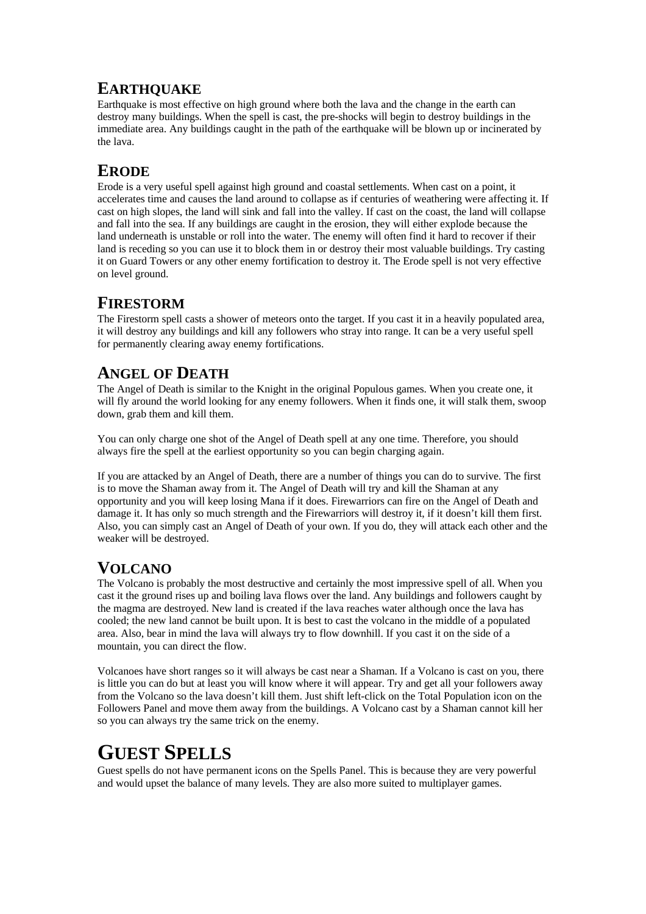#### **EARTHQUAKE**

Earthquake is most effective on high ground where both the lava and the change in the earth can destroy many buildings. When the spell is cast, the pre-shocks will begin to destroy buildings in the immediate area. Any buildings caught in the path of the earthquake will be blown up or incinerated by the lava.

#### **ERODE**

Erode is a very useful spell against high ground and coastal settlements. When cast on a point, it accelerates time and causes the land around to collapse as if centuries of weathering were affecting it. If cast on high slopes, the land will sink and fall into the valley. If cast on the coast, the land will collapse and fall into the sea. If any buildings are caught in the erosion, they will either explode because the land underneath is unstable or roll into the water. The enemy will often find it hard to recover if their land is receding so you can use it to block them in or destroy their most valuable buildings. Try casting it on Guard Towers or any other enemy fortification to destroy it. The Erode spell is not very effective on level ground.

#### **FIRESTORM**

The Firestorm spell casts a shower of meteors onto the target. If you cast it in a heavily populated area, it will destroy any buildings and kill any followers who stray into range. It can be a very useful spell for permanently clearing away enemy fortifications.

#### **ANGEL OF DEATH**

The Angel of Death is similar to the Knight in the original Populous games. When you create one, it will fly around the world looking for any enemy followers. When it finds one, it will stalk them, swoop down, grab them and kill them.

You can only charge one shot of the Angel of Death spell at any one time. Therefore, you should always fire the spell at the earliest opportunity so you can begin charging again.

If you are attacked by an Angel of Death, there are a number of things you can do to survive. The first is to move the Shaman away from it. The Angel of Death will try and kill the Shaman at any opportunity and you will keep losing Mana if it does. Firewarriors can fire on the Angel of Death and damage it. It has only so much strength and the Firewarriors will destroy it, if it doesn't kill them first. Also, you can simply cast an Angel of Death of your own. If you do, they will attack each other and the weaker will be destroyed.

#### **VOLCANO**

The Volcano is probably the most destructive and certainly the most impressive spell of all. When you cast it the ground rises up and boiling lava flows over the land. Any buildings and followers caught by the magma are destroyed. New land is created if the lava reaches water although once the lava has cooled; the new land cannot be built upon. It is best to cast the volcano in the middle of a populated area. Also, bear in mind the lava will always try to flow downhill. If you cast it on the side of a mountain, you can direct the flow.

Volcanoes have short ranges so it will always be cast near a Shaman. If a Volcano is cast on you, there is little you can do but at least you will know where it will appear. Try and get all your followers away from the Volcano so the lava doesn't kill them. Just shift left-click on the Total Population icon on the Followers Panel and move them away from the buildings. A Volcano cast by a Shaman cannot kill her so you can always try the same trick on the enemy.

### **GUEST SPELLS**

Guest spells do not have permanent icons on the Spells Panel. This is because they are very powerful and would upset the balance of many levels. They are also more suited to multiplayer games.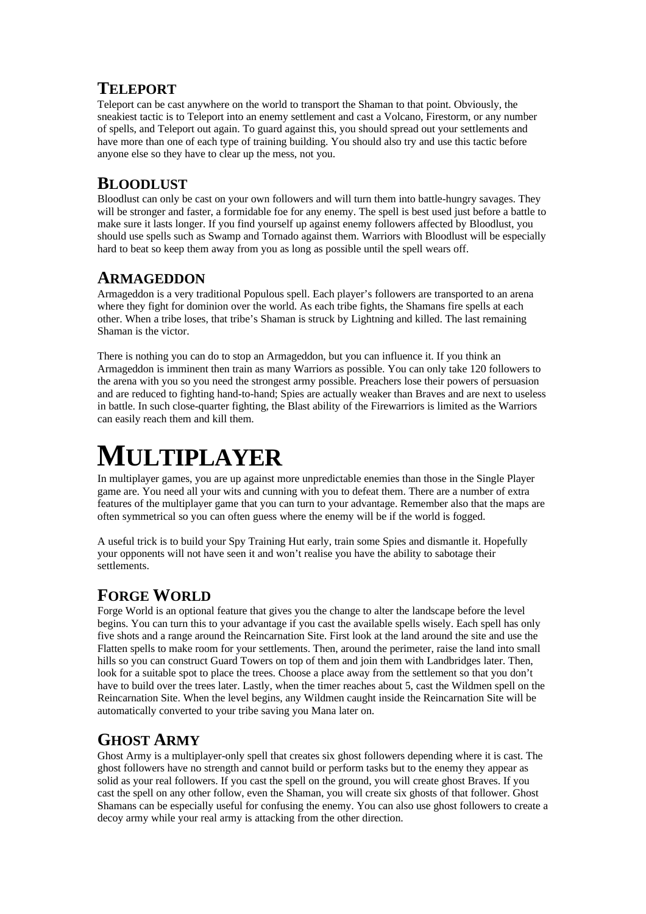#### **TELEPORT**

Teleport can be cast anywhere on the world to transport the Shaman to that point. Obviously, the sneakiest tactic is to Teleport into an enemy settlement and cast a Volcano, Firestorm, or any number of spells, and Teleport out again. To guard against this, you should spread out your settlements and have more than one of each type of training building. You should also try and use this tactic before anyone else so they have to clear up the mess, not you.

#### **BLOODLUST**

Bloodlust can only be cast on your own followers and will turn them into battle-hungry savages. They will be stronger and faster, a formidable foe for any enemy. The spell is best used just before a battle to make sure it lasts longer. If you find yourself up against enemy followers affected by Bloodlust, you should use spells such as Swamp and Tornado against them. Warriors with Bloodlust will be especially hard to beat so keep them away from you as long as possible until the spell wears off.

#### **ARMAGEDDON**

Armageddon is a very traditional Populous spell. Each player's followers are transported to an arena where they fight for dominion over the world. As each tribe fights, the Shamans fire spells at each other. When a tribe loses, that tribe's Shaman is struck by Lightning and killed. The last remaining Shaman is the victor.

There is nothing you can do to stop an Armageddon, but you can influence it. If you think an Armageddon is imminent then train as many Warriors as possible. You can only take 120 followers to the arena with you so you need the strongest army possible. Preachers lose their powers of persuasion and are reduced to fighting hand-to-hand; Spies are actually weaker than Braves and are next to useless in battle. In such close-quarter fighting, the Blast ability of the Firewarriors is limited as the Warriors can easily reach them and kill them.

# **MULTIPLAYER**

In multiplayer games, you are up against more unpredictable enemies than those in the Single Player game are. You need all your wits and cunning with you to defeat them. There are a number of extra features of the multiplayer game that you can turn to your advantage. Remember also that the maps are often symmetrical so you can often guess where the enemy will be if the world is fogged.

A useful trick is to build your Spy Training Hut early, train some Spies and dismantle it. Hopefully your opponents will not have seen it and won't realise you have the ability to sabotage their settlements.

#### **FORGE WORLD**

Forge World is an optional feature that gives you the change to alter the landscape before the level begins. You can turn this to your advantage if you cast the available spells wisely. Each spell has only five shots and a range around the Reincarnation Site. First look at the land around the site and use the Flatten spells to make room for your settlements. Then, around the perimeter, raise the land into small hills so you can construct Guard Towers on top of them and join them with Landbridges later. Then, look for a suitable spot to place the trees. Choose a place away from the settlement so that you don't have to build over the trees later. Lastly, when the timer reaches about 5, cast the Wildmen spell on the Reincarnation Site. When the level begins, any Wildmen caught inside the Reincarnation Site will be automatically converted to your tribe saving you Mana later on.

#### **GHOST ARMY**

Ghost Army is a multiplayer-only spell that creates six ghost followers depending where it is cast. The ghost followers have no strength and cannot build or perform tasks but to the enemy they appear as solid as your real followers. If you cast the spell on the ground, you will create ghost Braves. If you cast the spell on any other follow, even the Shaman, you will create six ghosts of that follower. Ghost Shamans can be especially useful for confusing the enemy. You can also use ghost followers to create a decoy army while your real army is attacking from the other direction.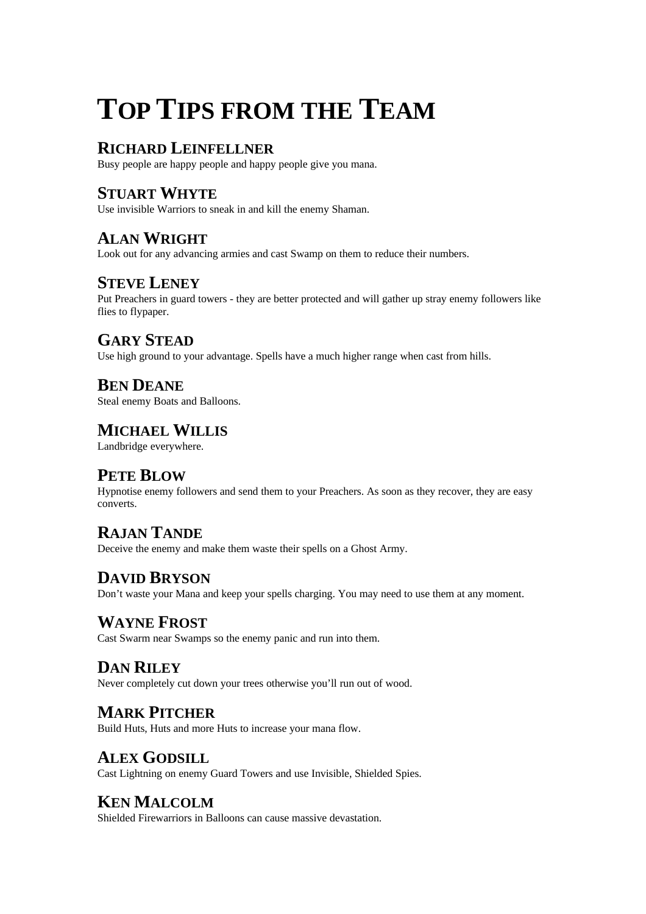# **TOP TIPS FROM THE TEAM**

#### **RICHARD LEINFELLNER**

Busy people are happy people and happy people give you mana.

#### **STUART WHYTE**

Use invisible Warriors to sneak in and kill the enemy Shaman.

#### **ALAN WRIGHT**

Look out for any advancing armies and cast Swamp on them to reduce their numbers.

#### **STEVE LENEY**

Put Preachers in guard towers - they are better protected and will gather up stray enemy followers like flies to flypaper.

#### **GARY STEAD**

Use high ground to your advantage. Spells have a much higher range when cast from hills.

### **BEN DEANE**

Steal enemy Boats and Balloons.

#### **MICHAEL WILLIS**

Landbridge everywhere.

#### **PETE BLOW**

Hypnotise enemy followers and send them to your Preachers. As soon as they recover, they are easy converts.

#### **RAJAN TANDE**

Deceive the enemy and make them waste their spells on a Ghost Army.

#### **DAVID BRYSON**

Don't waste your Mana and keep your spells charging. You may need to use them at any moment.

#### **WAYNE FROST**

Cast Swarm near Swamps so the enemy panic and run into them.

#### **DAN RILEY**

Never completely cut down your trees otherwise you'll run out of wood.

#### **MARK PITCHER**

Build Huts, Huts and more Huts to increase your mana flow.

#### **ALEX GODSILL**

Cast Lightning on enemy Guard Towers and use Invisible, Shielded Spies.

#### **KEN MALCOLM**

Shielded Firewarriors in Balloons can cause massive devastation.